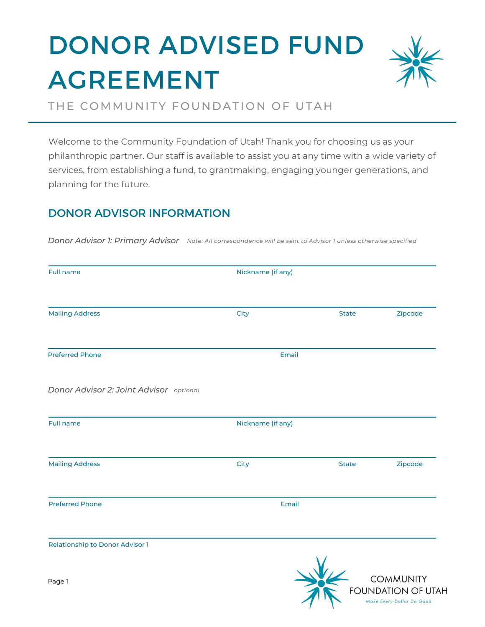# DONOR ADVISED FUND AGREEMENT



## THE COMMUNITY FOUNDATION OF UTAH

Welcome to the Community Foundation of Utah! Thank you for choosing us as your philanthropic partner. Our staff is available to assist you at any time with a wide variety of services, from establishing a fund, to grantmaking, engaging younger generations, and planning for the future.

### DONOR ADVISOR INFORMATION

| <b>Full name</b>                        | Nickname (if any) |              |         |  |
|-----------------------------------------|-------------------|--------------|---------|--|
|                                         |                   |              |         |  |
| <b>Mailing Address</b>                  | City              | <b>State</b> | Zipcode |  |
| <b>Preferred Phone</b>                  | Email             |              |         |  |
| Donor Advisor 2: Joint Advisor optional |                   |              |         |  |
| <b>Full name</b>                        | Nickname (if any) |              |         |  |
| <b>Mailing Address</b>                  | City              | <b>State</b> | Zipcode |  |
| <b>Preferred Phone</b>                  | Email             |              |         |  |
| Relationship to Donor Advisor 1         |                   |              |         |  |

**Donor Advisor 1: Primary Advisor** Note: All correspondence will be sent to Advisor 1 unless otherwise specified

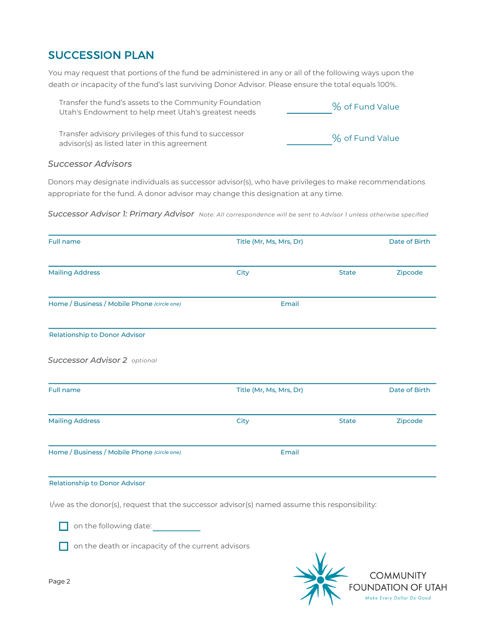## SUCCESSION PLAN

You may request that portions of the fund be administered in any or all of the following ways upon the death or incapacity of the fund's last surviving Donor Advisor. Please ensure the total equals 100%.

Transfer the fund's assets to the Community Foundation Utah's Endowment to help meet Utah's greatest needs

% of Fund Value

Transfer advisory privileges of this fund to successor advisor(s) as listed later in this agreement % of Fund Value

### *Successor Advisors*

Donors may designate individuals as successor advisor(s), who have privileges to make recommendations appropriate for the fund. A donor advisor may change this designation at any time.

Successor Advisor 1: Primary Advisor Note: All correspondence will be sent to Advisor 1 unless otherwise specified

| <b>Full name</b>                            | Title (Mr, Ms, Mrs, Dr) |              |               |  |
|---------------------------------------------|-------------------------|--------------|---------------|--|
| <b>Mailing Address</b>                      | City                    | <b>State</b> | Zipcode       |  |
| Home / Business / Mobile Phone (circle one) | Email                   |              |               |  |
| <b>Relationship to Donor Advisor</b>        |                         |              |               |  |
| <b>Successor Advisor 2</b> optional         |                         |              |               |  |
| <b>Full name</b>                            | Title (Mr, Ms, Mrs, Dr) |              | Date of Birth |  |
| <b>Mailing Address</b>                      | City<br><b>State</b>    |              | Zipcode       |  |
| Home / Business / Mobile Phone (circle one) | Email                   |              |               |  |
|                                             |                         |              |               |  |

#### Relationship to Donor Advisor

I/we as the donor(s), request that the successor advisor(s) named assume this responsibility:

on the following date:



on the death or incapacity of the current advisors

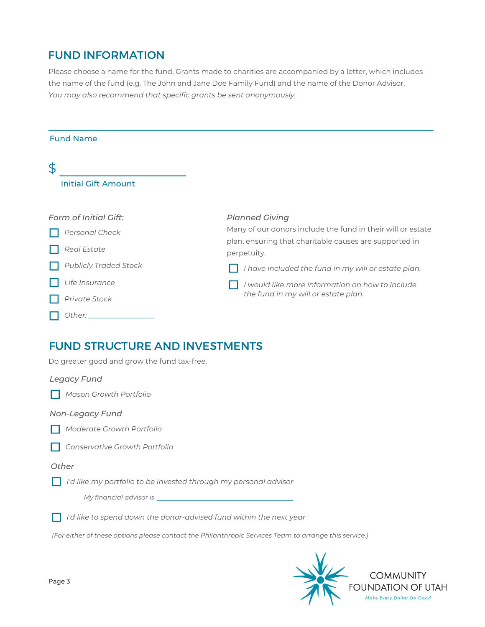# FUND INFORMATION

Please choose a name for the fund. Grants made to charities are accompanied by a letter, which includes the name of the fund (e.g. The John and Jane Doe Family Fund) and the name of the Donor Advisor. *You may also recommend that specific grants be sent anonymously.*

| <b>Fund Name</b>                                                                                     |                                                                                                                                                                                                                      |
|------------------------------------------------------------------------------------------------------|----------------------------------------------------------------------------------------------------------------------------------------------------------------------------------------------------------------------|
| $\mathcal{P}$<br><b>Initial Gift Amount</b>                                                          |                                                                                                                                                                                                                      |
| Form of Initial Gift:<br><b>Personal Check</b><br><b>Real Estate</b><br><b>Publicly Traded Stock</b> | <b>Planned Giving</b><br>Many of our donors include the fund in their will or estate<br>plan, ensuring that charitable causes are supported in<br>perpetuity.<br>I have included the fund in my will or estate plan. |
| Life Insurance<br>Private Stock                                                                      | I would like more information on how to include<br>the fund in my will or estate plan.                                                                                                                               |
| <b>FUND STRUCTURE AND INVESTMENTS</b>                                                                |                                                                                                                                                                                                                      |

Do greater good and grow the fund tax-free.

### *Legacy Fund*

*Mason Growth Portfolio*

### *Non-Legacy Fund*

*Moderate Growth Portfolio*

*Conservative Growth Portfolio*

#### *Other*

*I'd like my portfolio to be invested through my personal advisor*

*My financial advisor is*

*I'd like to spend down the donor-advised fund within the next year*

*(For either of these options please contact the Philanthropic Services Team to arrange this service.)*

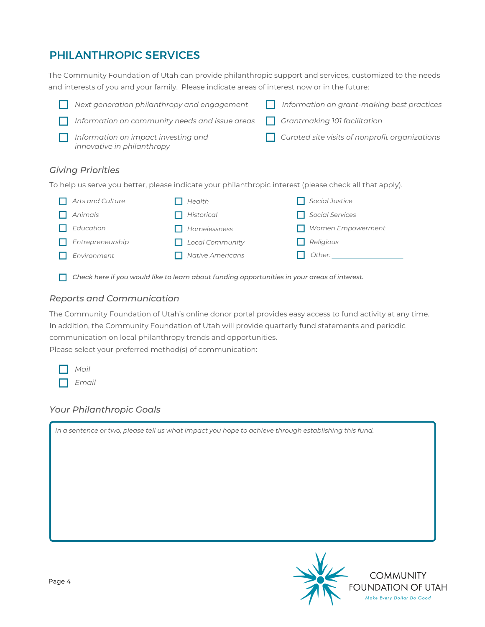# PHILANTHROPIC SERVICES

The Community Foundation of Utah can provide philanthropic support and services, customized to the needs and interests of you and your family. Please indicate areas of interest now or in the future:

| Next generation philanthropy and engagement                       |                        | Information on grant-making best practices                                                              |
|-------------------------------------------------------------------|------------------------|---------------------------------------------------------------------------------------------------------|
| Information on community needs and issue areas                    |                        | Grantmaking 101 facilitation                                                                            |
| Information on impact investing and<br>innovative in philanthropy |                        | Curated site visits of nonprofit organizations                                                          |
| <b>Giving Priorities</b>                                          |                        |                                                                                                         |
|                                                                   |                        | To help us serve you better, please indicate your philanthropic interest (please check all that apply). |
| Arts and Culture                                                  | Health                 | Social Justice                                                                                          |
| Animals                                                           | Historical             | <b>Social Services</b>                                                                                  |
| Education                                                         | Homelessness           | Women Empowerment                                                                                       |
| Entrepreneurship                                                  | <b>Local Community</b> | Religious                                                                                               |

*Other:*

*Check here if you would like to learn about funding opportunities in your areas of interest.*

### *Reports and Communication*

*Environment Native Americans*

The Community Foundation of Utah's online donor portal provides easy access to fund activity at any time. In addition, the Community Foundation of Utah will provide quarterly fund statements and periodic communication on local philanthropy trends and opportunities. Please select your preferred method(s) of communication:

| Mail  |
|-------|
| Email |

### *Your Philanthropic Goals*

In a sentence or two, please tell us what impact you hope to achieve through establishing this fund.

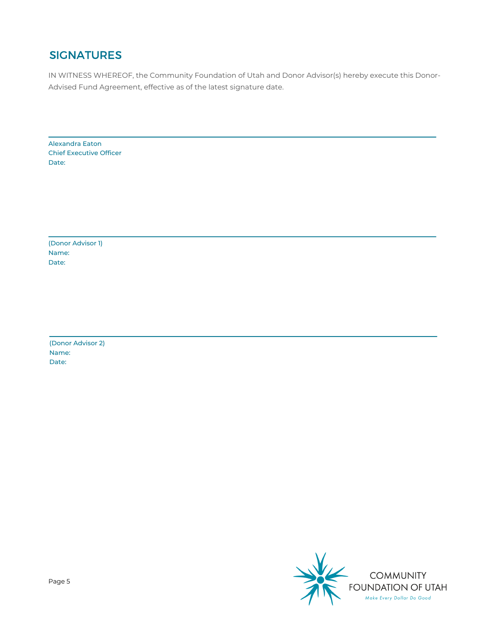# **SIGNATURES**

IN WITNESS WHEREOF, the Community Foundation of Utah and Donor Advisor(s) hereby execute this Donor-Advised Fund Agreement, effective as of the latest signature date.

Alexandra Eaton Chief Executive Officer Date:

(Donor Advisor 1) Name: Date:

(Donor Advisor 2) Name: Date:

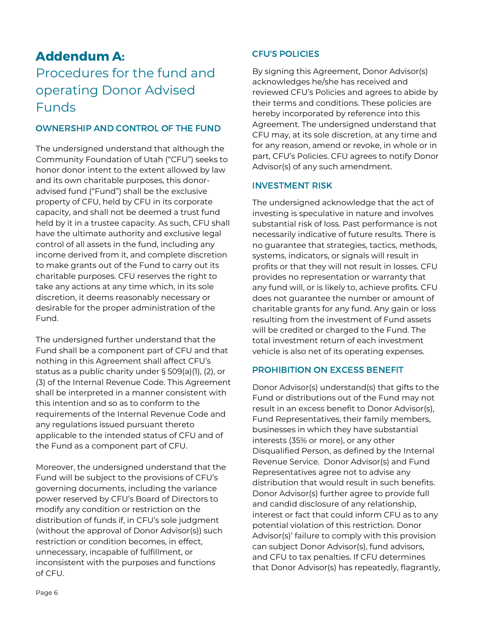# Addendum A:

# Procedures for the fund and operating Donor Advised Funds

### OWNERSHIP AND CONTROL OF THE FUND

The undersigned understand that although the Community Foundation of Utah ("CFU") seeks to honor donor intent to the extent allowed by law and its own charitable purposes, this donoradvised fund ("Fund") shall be the exclusive property of CFU, held by CFU in its corporate capacity, and shall not be deemed a trust fund held by it in a trustee capacity. As such, CFU shall have the ultimate authority and exclusive legal control of all assets in the fund, including any income derived from it, and complete discretion to make grants out of the Fund to carry out its charitable purposes. CFU reserves the right to take any actions at any time which, in its sole discretion, it deems reasonably necessary or desirable for the proper administration of the Fund.

The undersigned further understand that the Fund shall be a component part of CFU and that nothing in this Agreement shall affect CFU's status as a public charity under § 509(a)(1), (2), or (3) of the Internal Revenue Code. This Agreement shall be interpreted in a manner consistent with this intention and so as to conform to the requirements of the Internal Revenue Code and any regulations issued pursuant thereto applicable to the intended status of CFU and of the Fund as a component part of CFU.

Moreover, the undersigned understand that the Fund will be subject to the provisions of CFU's governing documents, including the variance power reserved by CFU's Board of Directors to modify any condition or restriction on the distribution of funds if, in CFU's sole judgment (without the approval of Donor Advisor(s)) such restriction or condition becomes, in effect, unnecessary, incapable of fulfillment, or inconsistent with the purposes and functions of CFU.

### CFU'S POLICIES

By signing this Agreement, Donor Advisor(s) acknowledges he/she has received and reviewed CFU's Policies and agrees to abide by their terms and conditions. These policies are hereby incorporated by reference into this Agreement. The undersigned understand that CFU may, at its sole discretion, at any time and for any reason, amend or revoke, in whole or in part, CFU's Policies. CFU agrees to notify Donor Advisor(s) of any such amendment.

### INVESTMENT RISK

The undersigned acknowledge that the act of investing is speculative in nature and involves substantial risk of loss. Past performance is not necessarily indicative of future results. There is no guarantee that strategies, tactics, methods, systems, indicators, or signals will result in profits or that they will not result in losses. CFU provides no representation or warranty that any fund will, or is likely to, achieve profits. CFU does not guarantee the number or amount of charitable grants for any fund. Any gain or loss resulting from the investment of Fund assets will be credited or charged to the Fund. The total investment return of each investment vehicle is also net of its operating expenses.

### PROHIBITION ON EXCESS BENEFIT

Donor Advisor(s) understand(s) that gifts to the Fund or distributions out of the Fund may not result in an excess benefit to Donor Advisor(s), Fund Representatives, their family members, businesses in which they have substantial interests (35% or more), or any other Disqualified Person, as defined by the Internal Revenue Service. Donor Advisor(s) and Fund Representatives agree not to advise any distribution that would result in such benefits. Donor Advisor(s) further agree to provide full and candid disclosure of any relationship, interest or fact that could inform CFU as to any potential violation of this restriction. Donor Advisor(s)' failure to comply with this provision can subject Donor Advisor(s), fund advisors, and CFU to tax penalties. If CFU determines that Donor Advisor(s) has repeatedly, flagrantly,